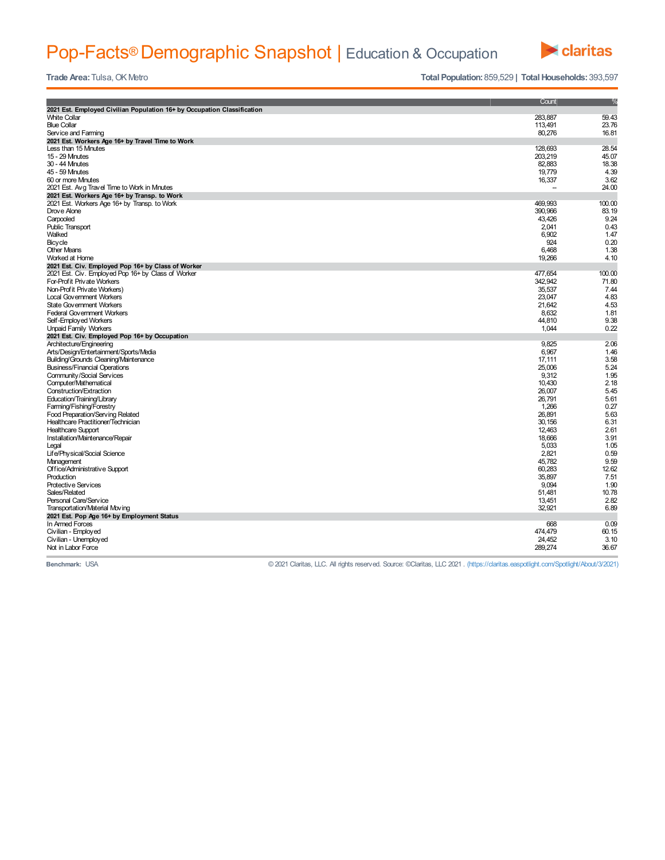## Pop-Facts® Demographic Snapshot | Education & Occupation



**Trade Area:** Tulsa, OK Metro **Total Population:** 859,529 **| Total Households:** 393,597

|                                                                         | Count   | $\frac{9}{6}$ |
|-------------------------------------------------------------------------|---------|---------------|
| 2021 Est. Employed Civilian Population 16+ by Occupation Classification |         |               |
| <b>White Collar</b>                                                     | 283,887 | 59.43         |
| <b>Blue Collar</b>                                                      | 113.491 | 23.76         |
| Service and Farming                                                     | 80,276  | 16.81         |
| 2021 Est. Workers Age 16+ by Travel Time to Work                        |         |               |
| Less than 15 Mnutes                                                     | 128,693 | 28.54         |
| 15 - 29 Mnutes                                                          | 203.219 | 45.07         |
| 30 - 44 Mnutes                                                          | 82.883  | 18.38         |
| 45 - 59 Mnutes                                                          | 19.779  | 4.39          |
| 60 or more Mnutes                                                       | 16,337  | 3.62          |
| 2021 Est. Avg Travel Time to Work in Minutes                            |         | 24.00         |
| 2021 Est. Workers Age 16+ by Transp. to Work                            |         |               |
| 2021 Est. Workers Age 16+ by Transp. to Work                            | 469,993 | 100.00        |
| Drove Alone                                                             | 390,966 | 83.19         |
| Carpooled                                                               | 43,426  | 9.24          |
| <b>Public Transport</b>                                                 | 2,041   | 0.43          |
| Walked                                                                  | 6,902   | 1.47          |
| Bicycle                                                                 | 924     | 0.20          |
| <b>Other Means</b>                                                      | 6.468   | 1.38          |
| Worked at Home                                                          | 19,266  | 4.10          |
|                                                                         |         |               |
| 2021 Est. Civ. Employed Pop 16+ by Class of Worker                      |         | 100.00        |
| 2021 Est. Civ. Employed Pop 16+ by Class of Worker                      | 477,654 |               |
| For-Profit Private Workers                                              | 342.942 | 71.80         |
| Non-Prof it Private Workers)                                            | 35.537  | 7.44          |
| <b>Local Government Workers</b>                                         | 23.047  | 4.83          |
| State Government Workers                                                | 21.642  | 4.53          |
| <b>Federal Government Workers</b>                                       | 8,632   | 1.81          |
| Self-Employed Workers                                                   | 44,810  | 9.38          |
| <b>Unpaid Family Workers</b>                                            | 1,044   | 0.22          |
| 2021 Est. Civ. Employed Pop 16+ by Occupation                           |         |               |
| Architecture/Engineering                                                | 9,825   | 2.06          |
| Arts/Design/Entertainment/Sports/Media                                  | 6,967   | 1.46          |
| Building/Grounds Cleaning/Maintenance                                   | 17.111  | 3.58          |
| <b>Business/Financial Operations</b>                                    | 25,006  | 5.24          |
| Community/Social Services                                               | 9.312   | 1.95          |
| Computer/Mathematical                                                   | 10.430  | 2.18          |
| Construction/Extraction                                                 | 26.007  | 5.45          |
| Education/Training/Library                                              | 26,791  | 5.61          |
| Farming/Fishing/Forestry                                                | 1.266   | 0.27          |
| Food Preparation/Serving Related                                        | 26.891  | 5.63          |
| Healthcare Practitioner/Technician                                      | 30.156  | 6.31          |
| <b>Healthcare Support</b>                                               | 12,463  | 2.61          |
| Installation/Maintenance/Repair                                         | 18,666  | 3.91          |
| Legal                                                                   | 5,033   | 1.05          |
| Life/Physical/Social Science                                            | 2,821   | 0.59          |
| Management                                                              | 45,782  | 9.59          |
| Office/Administrative Support                                           | 60,283  | 12.62         |
| Production                                                              | 35,897  | 7.51          |
| Protective Services                                                     | 9.094   | 1.90          |
| Sales/Related                                                           | 51.481  | 10.78         |
| Personal Care/Service                                                   | 13.451  | 2.82          |
| Transportation/Material Moving                                          | 32,921  | 6.89          |
|                                                                         |         |               |
| 2021 Est. Pop Age 16+ by Employment Status                              |         |               |
| In Armed Forces                                                         | 668     | 0.09          |
| Civilian - Employed                                                     | 474,479 | 60.15         |
| Civilian - Unemployed                                                   | 24.452  | 3.10          |
| Not in Labor Force                                                      | 289,274 | 36.67         |

**Benchmark:** USA © 2021 Claritas, LLC. All rights reserved. Source: ©Claritas, LLC 2021 . (https://claritas.easpotlight.com/Spotlight/About/3/2021)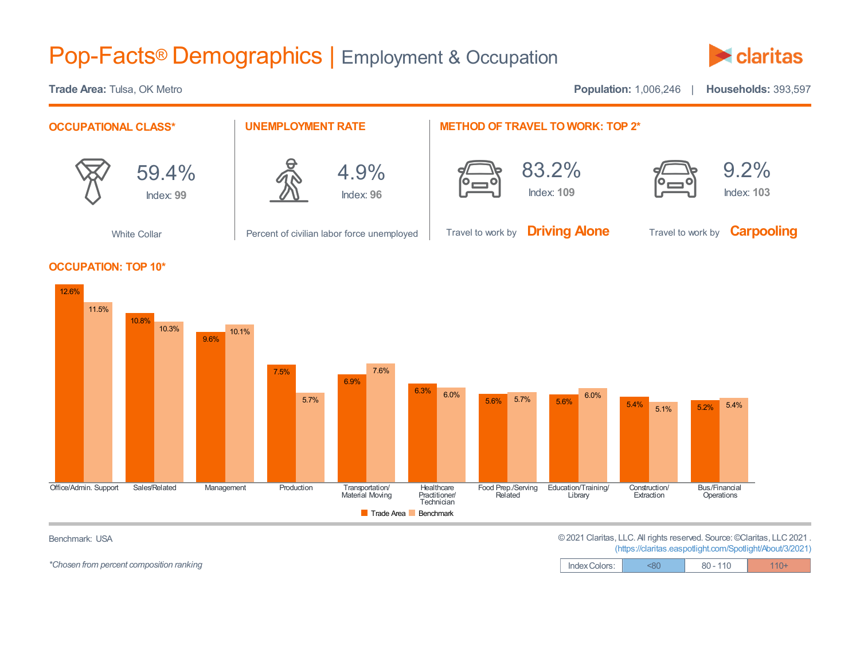## Pop-Facts® Demographics | Employment & Occupation



**Trade Area:** Tulsa, OK Metro **Population:** 1,006,246 | **Households:** 393,597 **OCCUPATIONAL CLASS\*** 59.4% Index: **99** White Collar **UNEMPLOYMENT RATE** 4.9% Index: **96** Percent of civilian labor force unemployed **METHOD OF TRAVEL TO WORK: TOP 2\*** 83.2% Index: **109** Travel to work by **Driving Alone** 9.2% Index: **103** Travel to work by **Carpooling OCCUPATION: TOP 10\***



*\*Chosen* from percent composition ranking

Benchmark: USA **Example 2021 Claritas, LLC. All rights reserved. Source: ©Claritas, LLC 2021** . (https://claritas.easpotlight.com/Spotlight/About/3/2021)

| (imps://claritas.caspolityrit.com/opolityrit/~bodivo/zozil) |           |        |         |  |  |
|-------------------------------------------------------------|-----------|--------|---------|--|--|
| ndov Coloro:                                                | $\sim$ 80 | 90.110 | $110 +$ |  |  |

| Index Colors: | <80 | 110<br>$80 -$ |  |
|---------------|-----|---------------|--|
|---------------|-----|---------------|--|